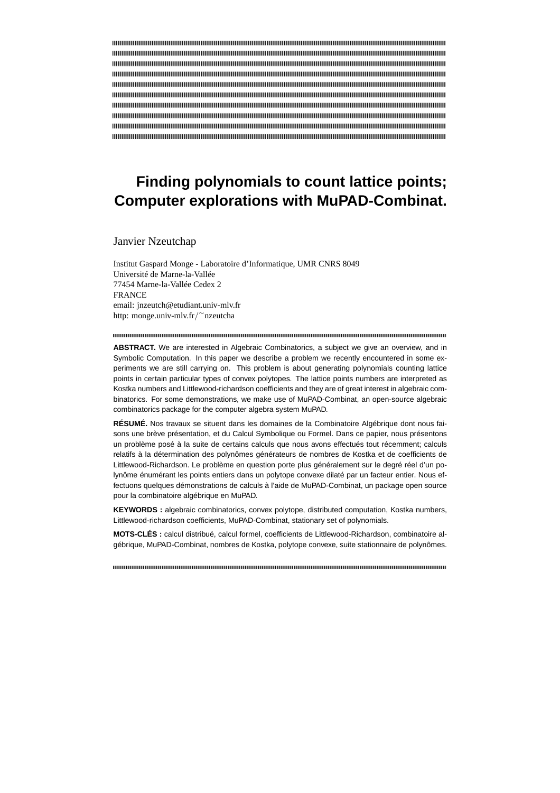# **Finding polynomials to count lattice points; Computer explorations with MuPAD-Combinat.**

Janvier Nzeutchap

Institut Gaspard Monge - Laboratoire d'Informatique, UMR CNRS 8049 Université de Marne-la-Vallée 77454 Marne-la-Vallée Cedex 2 **FRANCE** email: jnzeutch@etudiant.univ-mlv.fr http: monge.univ-mlv.fr/ <sup>∼</sup>nzeutcha

**ABSTRACT.** We are interested in Algebraic Combinatorics, a subject we give an overview, and in Symbolic Computation. In this paper we describe a problem we recently encountered in some experiments we are still carrying on. This problem is about generating polynomials counting lattice points in certain particular types of convex polytopes. The lattice points numbers are interpreted as Kostka numbers and Littlewood-richardson coefficients and they are of great interest in algebraic combinatorics. For some demonstrations, we make use of MuPAD-Combinat, an open-source algebraic combinatorics package for the computer algebra system MuPAD.

**RÉSUMÉ.** Nos travaux se situent dans les domaines de la Combinatoire Algébrique dont nous faisons une brève présentation, et du Calcul Symbolique ou Formel. Dans ce papier, nous présentons un problème posé à la suite de certains calculs que nous avons effectués tout récemment; calculs relatifs à la détermination des polynômes générateurs de nombres de Kostka et de coefficients de Littlewood-Richardson. Le problème en question porte plus généralement sur le degré réel d'un polynôme énumérant les points entiers dans un polytope convexe dilaté par un facteur entier. Nous effectuons quelques démonstrations de calculs à l'aide de MuPAD-Combinat, un package open source pour la combinatoire algébrique en MuPAD.

**KEYWORDS :** algebraic combinatorics, convex polytope, distributed computation, Kostka numbers, Littlewood-richardson coefficients, MuPAD-Combinat, stationary set of polynomials.

**MOTS-CLÉS :** calcul distribué, calcul formel, coefficients de Littlewood-Richardson, combinatoire algébrique, MuPAD-Combinat, nombres de Kostka, polytope convexe, suite stationnaire de polynômes.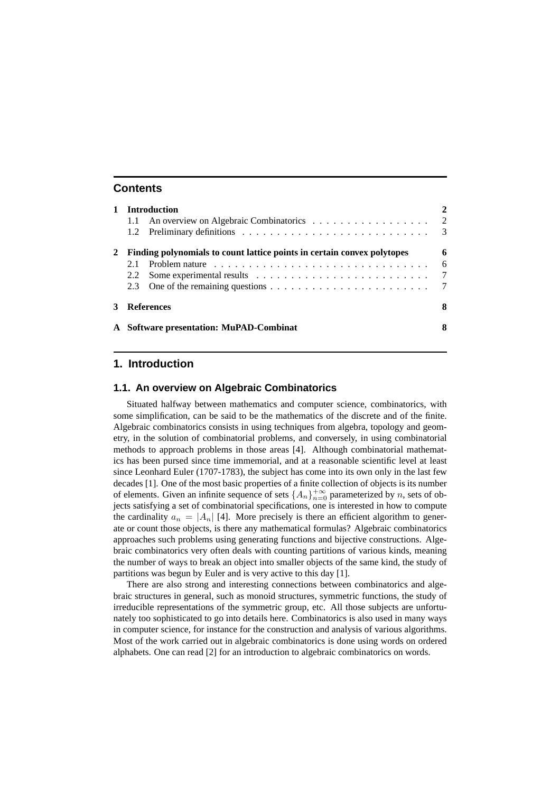# **Contents**

|                                         |     | <b>Introduction</b>                                                     | 2                       |  |  |  |  |  |  |  |
|-----------------------------------------|-----|-------------------------------------------------------------------------|-------------------------|--|--|--|--|--|--|--|
|                                         | 1.1 |                                                                         |                         |  |  |  |  |  |  |  |
|                                         |     |                                                                         | $\overline{\mathbf{3}}$ |  |  |  |  |  |  |  |
|                                         |     | Finding polynomials to count lattice points in certain convex polytopes | 6                       |  |  |  |  |  |  |  |
|                                         | 2.1 |                                                                         | - 6                     |  |  |  |  |  |  |  |
|                                         | 2.2 |                                                                         | $\overline{7}$          |  |  |  |  |  |  |  |
|                                         | 2.3 |                                                                         | $\overline{7}$          |  |  |  |  |  |  |  |
|                                         |     | <b>References</b>                                                       | 8                       |  |  |  |  |  |  |  |
| A Software presentation: MuPAD-Combinat |     |                                                                         |                         |  |  |  |  |  |  |  |

# **1. Introduction**

### **1.1. An overview on Algebraic Combinatorics**

Situated halfway between mathematics and computer science, combinatorics, with some simplification, can be said to be the mathematics of the discrete and of the finite. Algebraic combinatorics consists in using techniques from algebra, topology and geometry, in the solution of combinatorial problems, and conversely, in using combinatorial methods to approach problems in those areas [4]. Although combinatorial mathematics has been pursed since time immemorial, and at a reasonable scientific level at least since Leonhard Euler (1707-1783), the subject has come into its own only in the last few decades [1]. One of the most basic properties of a finite collection of objects is its number of elements. Given an infinite sequence of sets  $\{A_n\}_{n=0}^{+\infty}$  parameterized by n, sets of objects satisfying a set of combinatorial specifications, one is interested in how to compute the cardinality  $a_n = |A_n|$  [4]. More precisely is there an efficient algorithm to generate or count those objects, is there any mathematical formulas? Algebraic combinatorics approaches such problems using generating functions and bijective constructions. Algebraic combinatorics very often deals with counting partitions of various kinds, meaning the number of ways to break an object into smaller objects of the same kind, the study of partitions was begun by Euler and is very active to this day [1].

There are also strong and interesting connections between combinatorics and algebraic structures in general, such as monoid structures, symmetric functions, the study of irreducible representations of the symmetric group, etc. All those subjects are unfortunately too sophisticated to go into details here. Combinatorics is also used in many ways in computer science, for instance for the construction and analysis of various algorithms. Most of the work carried out in algebraic combinatorics is done using words on ordered alphabets. One can read [2] for an introduction to algebraic combinatorics on words.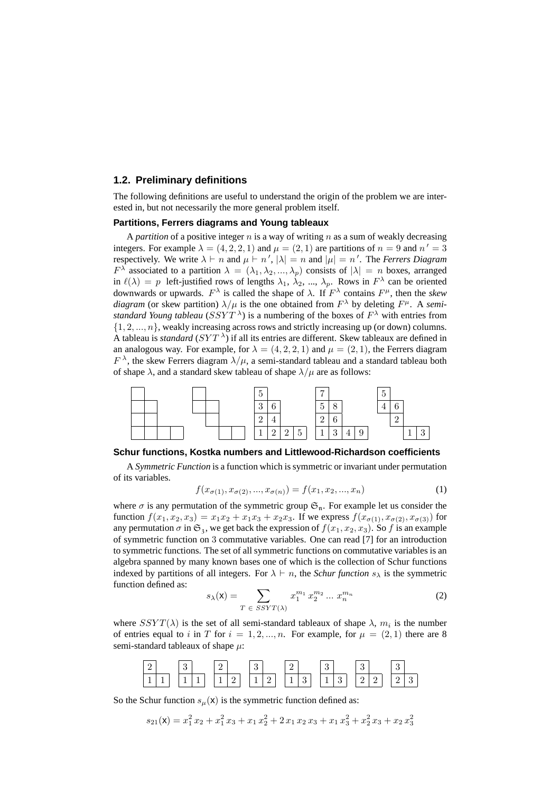### **1.2. Preliminary definitions**

The following definitions are useful to understand the origin of the problem we are interested in, but not necessarily the more general problem itself.

### **Partitions, Ferrers diagrams and Young tableaux**

A *partition* of a positive integer  $n$  is a way of writing  $n$  as a sum of weakly decreasing integers. For example  $\lambda = (4, 2, 2, 1)$  and  $\mu = (2, 1)$  are partitions of  $n = 9$  and  $n' = 3$ respectively. We write  $\lambda \vdash n$  and  $\mu \vdash n'$ ,  $|\lambda| = n$  and  $|\mu| = n'$ . The *Ferrers Diagram*  $F^{\lambda}$  associated to a partition  $\lambda = (\lambda_1, \lambda_2, ..., \lambda_p)$  consists of  $|\lambda| = n$  boxes, arranged in  $\ell(\lambda) = p$  left-justified rows of lengths  $\lambda_1, \lambda_2, ..., \lambda_p$ . Rows in  $F^{\lambda}$  can be oriented downwards or upwards.  $F^{\lambda}$  is called the shape of  $\lambda$ . If  $F^{\lambda}$  contains  $F^{\mu}$ , then the *skew diagram* (or skew partition)  $\lambda/\mu$  is the one obtained from  $F^{\lambda}$  by deleting  $F^{\mu}$ . A *semistandard Young tableau* ( $SSYT^{\lambda}$ ) is a numbering of the boxes of  $F^{\lambda}$  with entries from  $\{1, 2, ..., n\}$ , weakly increasing across rows and strictly increasing up (or down) columns. A tableau is *standard* ( $SYT^{\lambda}$ ) if all its entries are different. Skew tableaux are defined in an analogous way. For example, for  $\lambda = (4, 2, 2, 1)$  and  $\mu = (2, 1)$ , the Ferrers diagram  $F^{\lambda}$ , the skew Ferrers diagram  $\lambda/\mu$ , a semi-standard tableau and a standard tableau both of shape  $\lambda$ , and a standard skew tableau of shape  $\lambda/\mu$  are as follows:



### **Schur functions, Kostka numbers and Littlewood-Richardson coefficients**

A *Symmetric Function* is a function which is symmetric or invariant under permutation of its variables.

$$
f(x_{\sigma(1)}, x_{\sigma(2)}, ..., x_{\sigma(n)}) = f(x_1, x_2, ..., x_n)
$$
\n(1)

where  $\sigma$  is any permutation of the symmetric group  $\mathfrak{S}_n$ . For example let us consider the function  $f(x_1, x_2, x_3) = x_1x_2 + x_1x_3 + x_2x_3$ . If we express  $f(x_{\sigma(1)}, x_{\sigma(2)}, x_{\sigma(3)})$  for any permutation  $\sigma$  in  $\mathfrak{S}_3$ , we get back the expression of  $f(x_1, x_2, x_3)$ . So f is an example of symmetric function on 3 commutative variables. One can read [7] for an introduction to symmetric functions. The set of all symmetric functions on commutative variables is an algebra spanned by many known bases one of which is the collection of Schur functions indexed by partitions of all integers. For  $\lambda \vdash n$ , the *Schur function*  $s_{\lambda}$  is the symmetric function defined as:

$$
s_{\lambda}(\mathbf{x}) = \sum_{T \in \, SSYT(\lambda)} x_1^{m_1} \, x_2^{m_2} \dots \, x_n^{m_n} \tag{2}
$$

where  $SSYT(\lambda)$  is the set of all semi-standard tableaux of shape  $\lambda$ ,  $m_i$  is the number of entries equal to i in T for  $i = 1, 2, ..., n$ . For example, for  $\mu = (2, 1)$  there are 8 semi-standard tableaux of shape  $\mu$ :

| ↵<br>_   |   | $\Omega$<br>υ |   |               |        | $\Omega$<br>◡ |   | ∸             |               | $\Omega$<br>÷ |   | ິ<br>e, |   | ບ |   |  |
|----------|---|---------------|---|---------------|--------|---------------|---|---------------|---------------|---------------|---|---------|---|---|---|--|
| - 4<br>- | - | -<br>-        | - | ×<br><b>.</b> | ∸<br>— | -             | ∼ | -<br><b>.</b> | $\Omega$<br>◡ | -1            | ບ | -       | — | — | u |  |

So the Schur function  $s_\mu(x)$  is the symmetric function defined as:

$$
s_{21}(\mathbf{x}) = x_1^2 x_2 + x_1^2 x_3 + x_1 x_2^2 + 2 x_1 x_2 x_3 + x_1 x_3^2 + x_2^2 x_3 + x_2 x_3^2
$$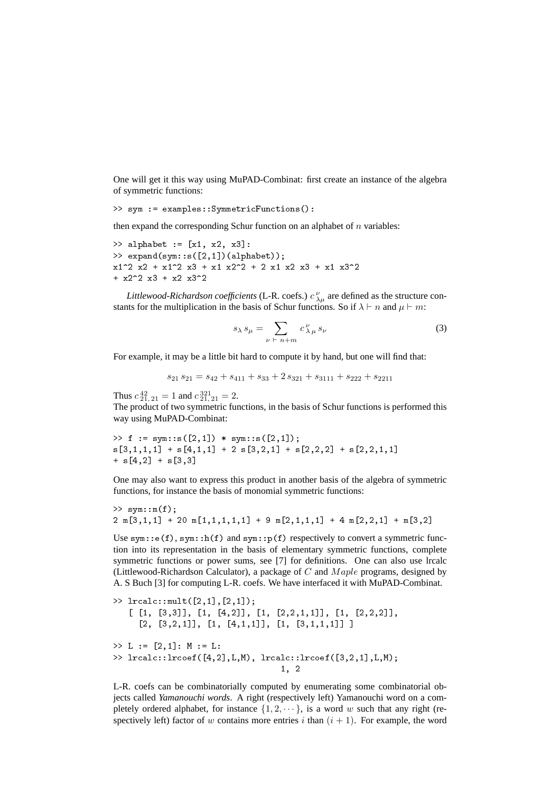One will get it this way using MuPAD-Combinat: first create an instance of the algebra of symmetric functions:

```
>> sym := examples::SymmetricFunctions():
```
then expand the corresponding Schur function on an alphabet of  $n$  variables:

```
> alphabet := [x1, x2, x3]:
\gg expand(sym::s([2,1])(alphabet));
x1^2 x2 + x1^2 x3 + x1 x2^2 + 2 x1 x2 x3 + x1 x3^2
+ x2^2 x3 + x2 x3^2
```
*Littlewood-Richardson coefficients* (L-R. coefs.)  $c_{\lambda\mu}^{\nu}$  are defined as the structure constants for the multiplication in the basis of Schur functions. So if  $\lambda \vdash n$  and  $\mu \vdash m$ :

$$
s_{\lambda} s_{\mu} = \sum_{\nu \ \vdash \ n+m} c^{\nu}_{\lambda \mu} s_{\nu} \tag{3}
$$

For example, it may be a little bit hard to compute it by hand, but one will find that:

 $s_{21} s_{21} = s_{42} + s_{411} + s_{33} + 2 s_{321} + s_{3111} + s_{222} + s_{2211}$ 

Thus  $c_{21, 21}^{42} = 1$  and  $c_{21, 21}^{321} = 2$ . The product of two symmetric functions, in the basis of Schur functions is performed this way using MuPAD-Combinat:

```
>> f := sym::s([2,1]) * sym::s([2,1]);
s[3,1,1,1] + s[4,1,1] + 2 s[3,2,1] + s[2,2,2] + s[2,2,1,1]+ s[4,2] + s[3,3]
```
One may also want to express this product in another basis of the algebra of symmetric functions, for instance the basis of monomial symmetric functions:

```
>> sym::m(f);
2 \text{ m}[3,1,1] + 20 \text{ m}[1,1,1,1,1] + 9 \text{ m}[2,1,1,1] + 4 \text{ m}[2,2,1] + \text{ m}[3,2]
```
Use sym:: $e(f)$ , sym:: $h(f)$  and sym:: $p(f)$  respectively to convert a symmetric function into its representation in the basis of elementary symmetric functions, complete symmetric functions or power sums, see [7] for definitions. One can also use lrcalc (Littlewood-Richardson Calculator), a package of  $C$  and  $Maple$  programs, designed by A. S Buch [3] for computing L-R. coefs. We have interfaced it with MuPAD-Combinat.

```
>> lrcalc::mult([2,1],[2,1]);
   [ [1, [3,3]], [1, [4,2]], [1, [2,2,1,1]], [1, [2,2,2]],[2, [3,2,1]], [1, [4,1,1]], [1, [3,1,1,1]]]
>> L := [2.1] : M := L:>> lrcalc::lrcoef([4,2],L,M), lrcalc::lrcoef([3,2,1],L,M);
                                  1, 2
```
L-R. coefs can be combinatorially computed by enumerating some combinatorial objects called *Yamanouchi words*. A right (respectively left) Yamanouchi word on a completely ordered alphabet, for instance  $\{1, 2, \dots\}$ , is a word w such that any right (respectively left) factor of w contains more entries i than  $(i + 1)$ . For example, the word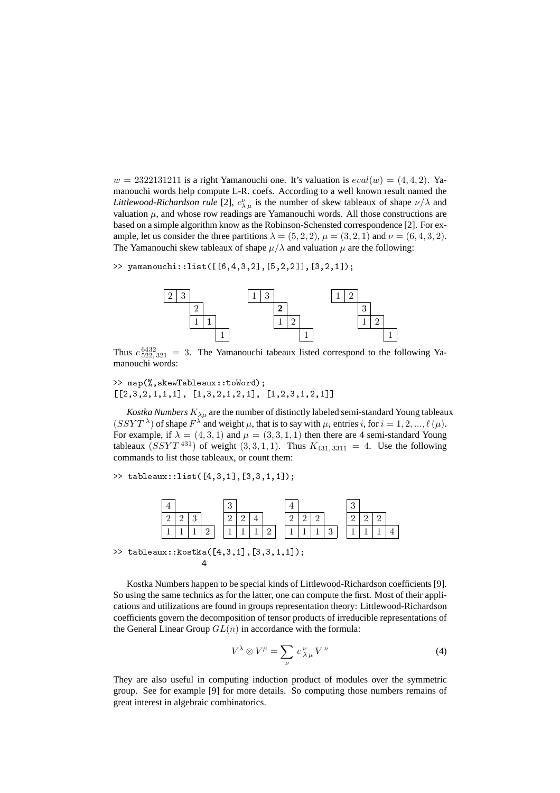$w = 2322131211$  is a right Yamanouchi one. It's valuation is  $eval(w) = (4, 4, 2)$ . Yamanouchi words help compute L-R. coefs. According to a well known result named the *Littlewood-Richardson rule* [2],  $c^{\nu}_{\lambda \mu}$  is the number of skew tableaux of shape  $\nu/\lambda$  and valuation  $\mu$ , and whose row readings are Yamanouchi words. All those constructions are based on a simple algorithm know as the Robinson-Schensted correspondence [2]. For example, let us consider the three partitions  $\lambda = (5, 2, 2)$ ,  $\mu = (3, 2, 1)$  and  $\nu = (6, 4, 3, 2)$ . The Yamanouchi skew tableaux of shape  $\mu/\lambda$  and valuation  $\mu$  are the following:

>> yamanouchi::list([[6,4,3,2],[5,2,2]],[3,2,1]);



Thus  $c_{522,321}^{6432} = 3$ . The Yamanouchi tabeaux listed correspond to the following Yamanouchi words:

>> map(%,skewTableaux::toWord);  $[2,3,2,1,1,1]$ ,  $[1,3,2,1,2,1]$ ,  $[1,2,3,1,2,1]$ 

*Kostka Numbers*  $K_{\lambda\mu}$  are the number of distinctly labeled semi-standard Young tableaux  $(SSYT^{\lambda})$  of shape  $F^{\lambda}$  and weight  $\mu$ , that is to say with  $\mu_i$  entries i, for  $i = 1, 2, ..., \ell(\mu)$ . For example, if  $\lambda = (4, 3, 1)$  and  $\mu = (3, 3, 1, 1)$  then there are 4 semi-standard Young tableaux  $(SSYT^{431})$  of weight  $(3,3,1,1)$ . Thus  $K_{431,3311} = 4$ . Use the following commands to list those tableaux, or count them:

>> tableaux::list([4,3,1],[3,3,1,1]);

|            |  |  | $\Omega$<br>ಀ |   |   |   |  |  |        | $\Omega$<br>◡ |  |  |
|------------|--|--|---------------|---|---|---|--|--|--------|---------------|--|--|
| $\epsilon$ |  |  |               |   |   |   |  |  |        |               |  |  |
|            |  |  |               | - | ۰ | ∸ |  |  | ິ<br>ັ |               |  |  |

>> tableaux::kostka([4,3,1],[3,3,1,1]); 4

Kostka Numbers happen to be special kinds of Littlewood-Richardson coefficients [9]. So using the same technics as for the latter, one can compute the first. Most of their applications and utilizations are found in groups representation theory: Littlewood-Richardson coefficients govern the decomposition of tensor products of irreducible representations of the General Linear Group  $GL(n)$  in accordance with the formula:

$$
V^{\lambda} \otimes V^{\mu} = \sum_{\nu} c^{\nu}_{\lambda \mu} V^{\nu}
$$
 (4)

They are also useful in computing induction product of modules over the symmetric group. See for example [9] for more details. So computing those numbers remains of great interest in algebraic combinatorics.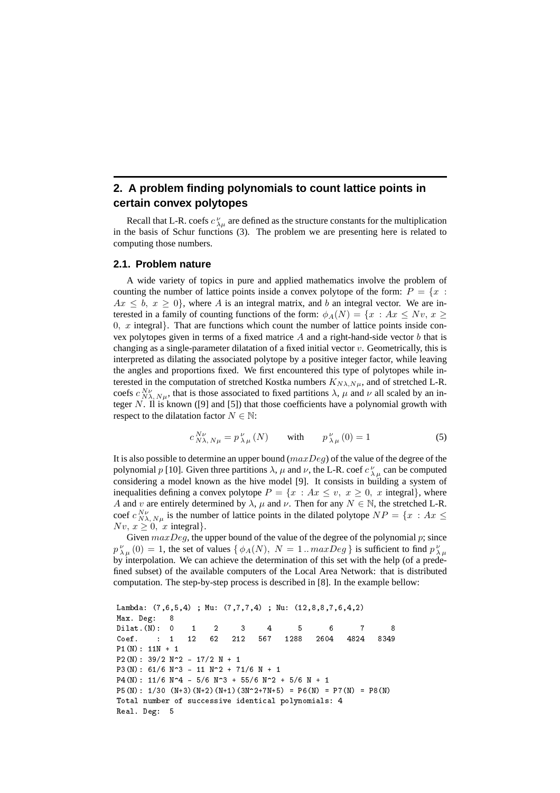# **2. A problem finding polynomials to count lattice points in certain convex polytopes**

Recall that L-R. coefs  $c_{\lambda\mu}^{\nu}$  are defined as the structure constants for the multiplication in the basis of Schur functions (3). The problem we are presenting here is related to computing those numbers.

### **2.1. Problem nature**

A wide variety of topics in pure and applied mathematics involve the problem of counting the number of lattice points inside a convex polytope of the form:  $P = \{x :$  $Ax \leq b, x \geq 0$ , where A is an integral matrix, and b an integral vector. We are interested in a family of counting functions of the form:  $\phi_A(N) = \{x : Ax \leq Nv, x \geq 0\}$  $0, x$  integral}. That are functions which count the number of lattice points inside convex polytopes given in terms of a fixed matrice  $A$  and a right-hand-side vector  $b$  that is changing as a single-parameter dilatation of a fixed initial vector v. Geometrically, this is interpreted as dilating the associated polytope by a positive integer factor, while leaving the angles and proportions fixed. We first encountered this type of polytopes while interested in the computation of stretched Kostka numbers  $K_{N\lambda,N\mu}$ , and of stretched L-R. coefs  $c_{N\lambda, N\mu}^{N\nu}$ , that is those associated to fixed partitions  $\lambda$ ,  $\mu$  and  $\nu$  all scaled by an integer  $N$ . Il is known ([9] and [5]) that those coefficients have a polynomial growth with respect to the dilatation factor  $N \in \mathbb{N}$ :

$$
c_{N\lambda, N\mu}^{N\nu} = p_{\lambda\mu}^{\nu}(N) \qquad \text{with} \qquad p_{\lambda\mu}^{\nu}(0) = 1 \tag{5}
$$

It is also possible to determine an upper bound  $(maxDeg)$  of the value of the degree of the polynomial p [10]. Given three partitions  $\lambda$ ,  $\mu$  and  $\nu$ , the L-R. coef  $c^{\nu}_{\lambda\mu}$  can be computed considering a model known as the hive model [9]. It consists in building a system of inequalities defining a convex polytope  $P = \{x : Ax \leq v, x \geq 0, x \text{ integral}\}\$ , where A and v are entirely determined by  $\lambda$ ,  $\mu$  and  $\nu$ . Then for any  $N \in \mathbb{N}$ , the stretched L-R. coef  $c_{N\lambda, N\mu}^{N\nu}$  is the number of lattice points in the dilated polytope  $NP = \{x : Ax \leq$  $Nv, x \geq 0$ , x integral}.

Given  $maxDeg$ , the upper bound of the value of the degree of the polynomial  $p$ ; since  $p_{\lambda\mu}^{\nu}(0) = 1$ , the set of values  $\{\phi_A(N), N = 1...maxDeg\}$  is sufficient to find  $p_{\lambda\mu}^{\nu}$ by interpolation. We can achieve the determination of this set with the help (of a predefined subset) of the available computers of the Local Area Network: that is distributed computation. The step-by-step process is described in [8]. In the example bellow:

```
Lambda: (7,6,5,4) ; Mu: (7,7,7,4) ; Nu: (12,8,8,7,6,4,2)
Max. Deg: 8
Dilat.(N): 0 1 2 3 4 5 6 7 8
Coef. : 1 12 62 212 567 1288 2604 4824 8349
P1(N): 11N + 1
P2(N): 39/2 N^2 - 17/2 N + 1
P3(N): 61/6 N<sup>2</sup> - 11 N<sup>2</sup> + 71/6 N + 1
P4(N): 11/6 N^4 - 5/6 N^3 + 55/6 N^2 + 5/6 N + 1
P5(N): 1/30 (N+3)(N+2)(N+1)(3N^2+7N+5) = P6(N) = P7(N) = P8(N)Total number of successive identical polynomials: 4
Real. Deg: 5
```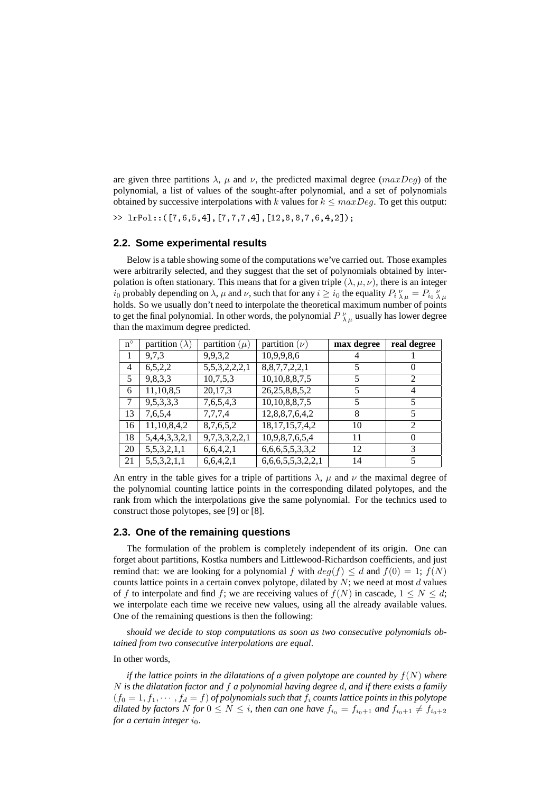are given three partitions  $\lambda$ ,  $\mu$  and  $\nu$ , the predicted maximal degree (maxDeg) of the polynomial, a list of values of the sought-after polynomial, and a set of polynomials obtained by successive interpolations with k values for  $k \leq maxDeg$ . To get this output:

>> lrPol::([7,6,5,4],[7,7,7,4],[12,8,8,7,6,4,2]);

### **2.2. Some experimental results**

Below is a table showing some of the computations we've carried out. Those examples were arbitrarily selected, and they suggest that the set of polynomials obtained by interpolation is often stationary. This means that for a given triple  $(\lambda, \mu, \nu)$ , there is an integer  $i_0$  probably depending on  $\lambda$ ,  $\mu$  and  $\nu$ , such that for any  $i \ge i_0$  the equality  $P_i \frac{\nu}{\lambda \mu} = P_{i_0} \frac{\nu}{\lambda \mu}$ holds. So we usually don't need to interpolate the theoretical maximum number of points to get the final polynomial. In other words, the polynomial  $P_{\lambda\mu}^{\nu}$  usually has lower degree than the maximum degree predicted.

| $n^{\circ}$    | partition ( $\lambda$ ) | partition $(\mu)$ | partition $(\nu)$                | max degree | real degree    |
|----------------|-------------------------|-------------------|----------------------------------|------------|----------------|
| 1              | 9,7,3                   | 9,9,3,2           | 10,9,9,8,6                       | 4          |                |
| $\overline{4}$ | 6, 5, 2, 2              | 5,5,3,2,2,2,1     | 8, 8, 7, 7, 2, 2, 1              | 5          | $\theta$       |
| 5              | 9,8,3,3                 | 10,7,5,3          | 10,10,8,8,7,5                    | 5          | 2              |
| 6              | 11,10,8,5               | 20,17,3           | 26, 25, 8, 8, 5, 2               | 5          | 4              |
| 7              | 9,5,3,3,3               | 7,6,5,4,3         | 10,10,8,8,7,5                    | 5          | 5              |
| 13             | 7,6,5,4                 | 7,7,7,4           | 12,8,8,7,6,4,2                   | 8          | 5              |
| 16             | 11,10,8,4,2             | 8,7,6,5,2         | $18, 17, 15, 7, \overline{4, 2}$ | 10         | $\overline{2}$ |
| 18             | 5,4,4,3,3,2,1           | 9,7,3,3,2,2,1     | 10,9,8,7,6,5,4                   | 11         | $\Omega$       |
| 20             | 5,5,3,2,1,1             | 6,6,4,2,1         | 6, 6, 6, 5, 5, 3, 3, 2           | 12         | 3              |
| 21             | 5,5,3,2,1,1             | 6,6,4,2,1         | 6,6,6,5,5,3,2,2,1                | 14         | 5              |

An entry in the table gives for a triple of partitions  $\lambda$ ,  $\mu$  and  $\nu$  the maximal degree of the polynomial counting lattice points in the corresponding dilated polytopes, and the rank from which the interpolations give the same polynomial. For the technics used to construct those polytopes, see [9] or [8].

### **2.3. One of the remaining questions**

The formulation of the problem is completely independent of its origin. One can forget about partitions, Kostka numbers and Littlewood-Richardson coefficients, and just remind that: we are looking for a polynomial f with  $deg(f) \leq d$  and  $f(0) = 1$ ;  $f(N)$ counts lattice points in a certain convex polytope, dilated by  $N$ ; we need at most  $d$  values of f to interpolate and find f; we are receiving values of  $f(N)$  in cascade,  $1 \le N \le d$ ; we interpolate each time we receive new values, using all the already available values. One of the remaining questions is then the following:

*should we decide to stop computations as soon as two consecutive polynomials obtained from two consecutive interpolations are equal*.

### In other words,

*if the lattice points in the dilatations of a given polytope are counted by*  $f(N)$  *where* N *is the dilatation factor and* f *a polynomial having degree* d*, and if there exists a family*  $(f_0 = 1, f_1, \dots, f_d = f)$  *of polynomials such that*  $f_i$  *counts lattice points in this polytope dilated by factors* N *for*  $0 \leq N \leq i$ , *then can one have*  $f_{i_0} = f_{i_0+1}$  *and*  $f_{i_0+1} \neq f_{i_0+2}$ *for a certain integer*  $i_0$ .